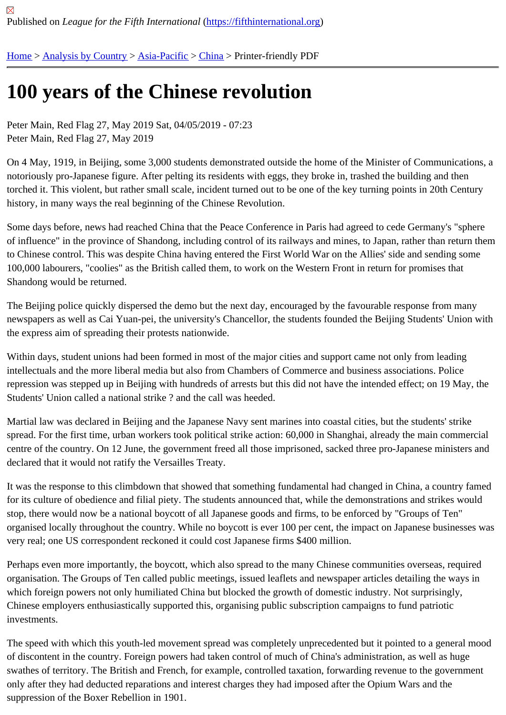## [100](https://fifthinternational.org/) [years of t](https://fifthinternational.org/category/1)[he Chi](https://fifthinternational.org/category/1/91)[nese](https://fifthinternational.org/category/1/91/96) revolution

Peter Main, Red Flag 27, May 2019 Sat, 04/05/2019 - 07:23 Peter Main, Red Flag 27, May 2019

On 4 May, 1919, in Beijing, some 3,000 students demonstrated outside the home of the Minister of Communicatio notoriously pro-Japanese figure. After pelting its residents with eggs, they broke in, trashed the building and then torched it. This violent, but rather small scale, incident turned out to be one of the key turning points in 20th Centur history, in many ways the real beginning of the Chinese Revolution.

Some days before, news had reached China that the Peace Conference in Paris had agreed to cede Germany's "s of influence" in the province of Shandong, including control of its railways and mines, to Japan, rather than return t to Chinese control. This was despite China having entered the First World War on the Allies' side and sending son 100,000 labourers, "coolies" as the British called them, to work on the Western Front in return for promises that Shandong would be returned.

The Beijing police quickly dispersed the demo but the next day, encouraged by the favourable response from many newspapers as well as Cai Yuan-pei, the university's Chancellor, the students founded the Beijing Students' Unior the express aim of spreading their protests nationwide.

Within days, student unions had been formed in most of the major cities and support came not only from leading intellectuals and the more liberal media but also from Chambers of Commerce and business associations. Police repression was stepped up in Beijing with hundreds of arrests but this did not have the intended effect; on 19 May Students' Union called a national strike ? and the call was heeded.

Martial law was declared in Beijing and the Japanese Navy sent marines into coastal cities, but the students' strike spread. For the first time, urban workers took political strike action: 60,000 in Shanghai, already the main commer centre of the country. On 12 June, the government freed all those imprisoned, sacked three pro-Japanese ministe declared that it would not ratify the Versailles Treaty.

It was the response to this climbdown that showed that something fundamental had changed in China, a country fa for its culture of obedience and filial piety. The students announced that, while the demonstrations and strikes wou stop, there would now be a national boycott of all Japanese goods and firms, to be enforced by "Groups of Ten" organised locally throughout the country. While no boycott is ever 100 per cent, the impact on Japanese business very real; one US correspondent reckoned it could cost Japanese firms \$400 million.

Perhaps even more importantly, the boycott, which also spread to the many Chinese communities overseas, requi organisation. The Groups of Ten called public meetings, issued leaflets and newspaper articles detailing the ways in which foreign powers not only humiliated China but blocked the growth of domestic industry. Not surprisingly, Chinese employers enthusiastically supported this, organising public subscription campaigns to fund patriotic investments.

The speed with which this youth-led movement spread was completely unprecedented but it pointed to a general r of discontent in the country. Foreign powers had taken control of much of China's administration, as well as huge swathes of territory. The British and French, for example, controlled taxation, forwarding revenue to the government only after they had deducted reparations and interest charges they had imposed after the Opium Wars and the suppression of the Boxer Rebellion in 1901.